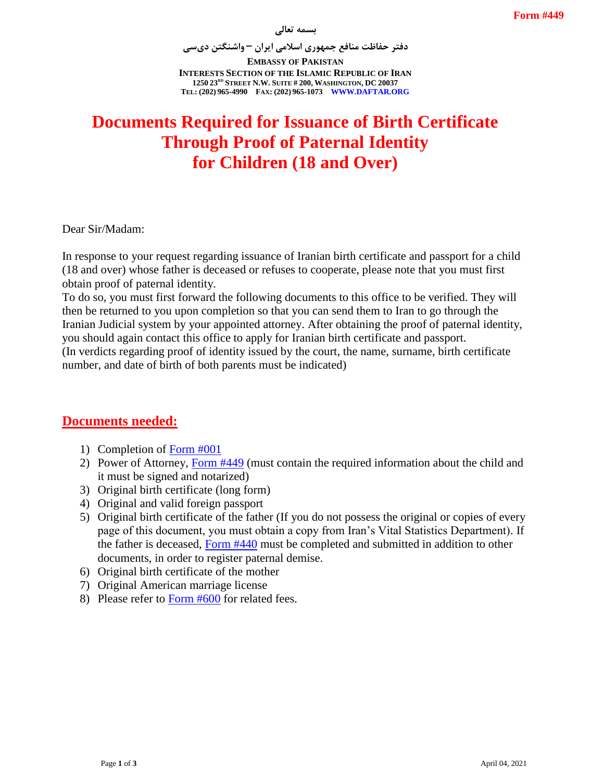**دفتر حفاظت منافع جمهوری اسالمی ایران – واشنگتن دیسی**

**EMBASSY OF PAKISTAN INTERESTS SECTION OF THE ISLAMIC REPUBLIC OF IRAN 1250 23RD STREET N.W. SUITE # 200, WASHINGTON, DC 20037 TEL: (202) 965-4990 FAX: (202) 965-1073 WWW.DAFTAR.ORG**

## **Documents Required for Issuance of Birth Certificate Through Proof of Paternal Identity for Children (18 and Over)**

Dear Sir/Madam:

In response to your request regarding issuance of Iranian birth certificate and passport for a child (18 and over) whose father is deceased or refuses to cooperate, please note that you must first obtain proof of paternal identity.

To do so, you must first forward the following documents to this office to be verified. They will then be returned to you upon completion so that you can send them to Iran to go through the Iranian Judicial system by your appointed attorney. After obtaining the proof of paternal identity, you should again contact this office to apply for Iranian birth certificate and passport. (In verdicts regarding proof of identity issued by the court, the name, surname, birth certificate number, and date of birth of both parents must be indicated)

## **Documents needed:**

- 1) Completion of [Form #001](http://www.daftar.org/forms/passports/001.pdf)
- 2) Power of Attorney, [Form #449](http://www.daftar.org/forms/vitalrecords/verifications/449.pdf) (must contain the required information about the child and it must be signed and notarized)
- 3) Original birth certificate (long form)
- 4) Original and valid foreign passport
- 5) Original birth certificate of the father (If you do not possess the original or copies of every page of this document, you must obtain a copy from Iran's Vital Statistics Department). If the father is deceased, [Form #440](http://www.daftar.org/forms/vitalrecords/death/440.pdf) must be completed and submitted in addition to other documents, in order to register paternal demise.
- 6) Original birth certificate of the mother
- 7) Original American marriage license
- 8) Please refer to [Form #600](http://www.daftar.org/forms/fees/600.pdf) for related fees.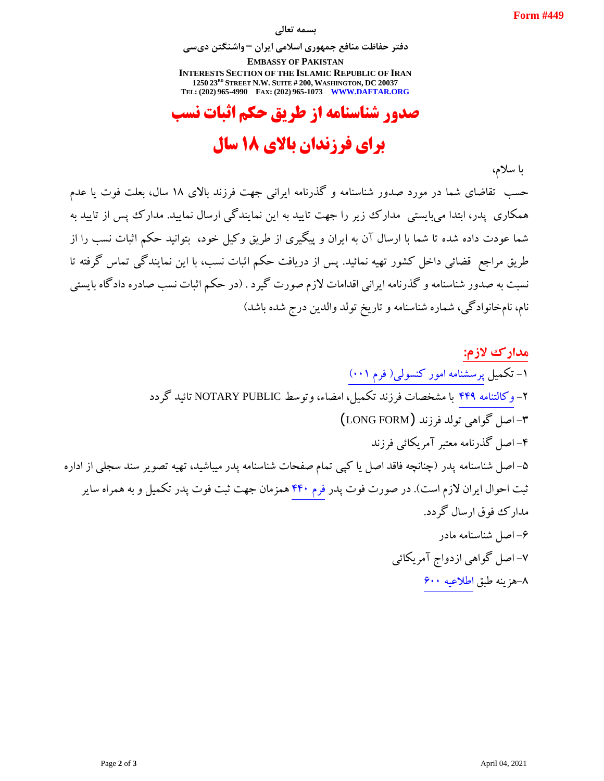#### **بسمه تعالی**

**دفتر حفاظت منافع جمهوری اسالمی ایران – واشنگتن دیسی**

**EMBASSY OF PAKISTAN INTERESTS SECTION OF THE ISLAMIC REPUBLIC OF IRAN 1250 23RD STREET N.W. SUITE # 200, WASHINGTON, DC 20037 TEL: (202) 965-4990 FAX: (202) 965-1073 WWW.DAFTAR.ORG**

# **صدور شناسنامه از طریق حکم اثبات نسب**

# **برای فرزندان باالی 81 سال**

با سالم،

حسب تقاضای شما در مورد صدور شناسنامه و گذرنامه ایرانی جهت فرزند باالی 81 سال، بعلت فوت یا عدم همکاری پدر، ابتدا میبایستی مدارک زیر را جهت تایید به این نمایندگی ارسال نمایید. مدارک پیس از تایید به شما عودت داده شده تا شما با ارسال آن به ایران و پیگیری از طریق وکیل خود، بتوانید حکم اثبات نسب را از طریق مراجع قضائی داخل کشور تهیه نمائید. پس از دریافت حکم اثبات نسب، با این نمایندگی تماس گرفته تا نسبت به صدور شناسنامه و گذرنامه ایرانی اقدامات الزم صورت گیرد . )در حکم اثبات نسب صادره دادگاه بایستی نام، نامخانوادگی، شماره شناسنامه و تاریخ تولد والدین درج شده باشد(

**مدارک الزم:** -8 تکمیل [پرسشنامه امور کنسولی\)](http://www.daftar.org/forms/passports/001.pdf) فرم 008( -2 [وکالتنامه](http://www.daftar.org/forms/vitalrecords/verifications/449.pdf) 994 با مشخصات فرزند تکمیل، امضاء، وتوسط PUBLIC NOTARY تائید گردد -3 اصل گواهی تولد فرزند (FORM LONG( -9 اصل گذرنامه معتبر آمریکائی فرزند -5 اصل شناسنامه پدر )چنانچه فاقد اصل یا کپی تمام صفحات شناسنامه پدر میباشید، تهیه تصویر سند سجلی از اداره ثبت احوال ایران لازم است). در صورت فوت پدر فرم ۴۴۰ همزمان جهت ثبت فوت پدر تکمیل و به همراه سایر مدارک فوق ارسال گردد. -6 اصل شناسنامه مادر -7 اصل گواهی ازدواج آمریکائی -1هزینه طبق [اطالعیه 600](http://www.daftar.org/forms/fees/600.pdf)